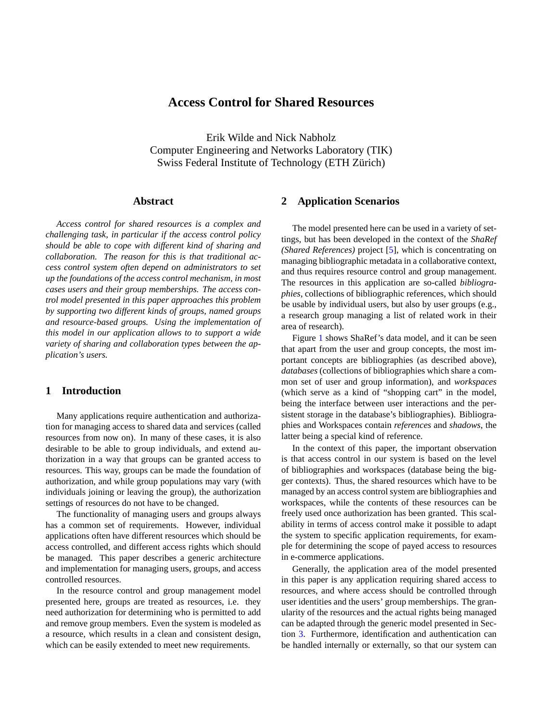# **Access Control for Shared Resources**

Erik Wilde and Nick Nabholz Computer Engineering and Networks Laboratory (TIK) Swiss Federal Institute of Technology (ETH Zürich)

## **Abstract**

*Access control for shared resources is a complex and challenging task, in particular if the access control policy should be able to cope with different kind of sharing and collaboration. The reason for this is that traditional access control system often depend on administrators to set up the foundations of the access control mechanism, in most cases users and their group memberships. The access control model presented in this paper approaches this problem by supporting two different kinds of groups, named groups and resource-based groups. Using the implementation of this model in our application allows to to support a wide variety of sharing and collaboration types between the application's users.*

# **1 Introduction**

Many applications require authentication and authorization for managing access to shared data and services (called resources from now on). In many of these cases, it is also desirable to be able to group individuals, and extend authorization in a way that groups can be granted access to resources. This way, groups can be made the foundation of authorization, and while group populations may vary (with individuals joining or leaving the group), the authorization settings of resources do not have to be changed.

The functionality of managing users and groups always has a common set of requirements. However, individual applications often have different resources which should be access controlled, and different access rights which should be managed. This paper describes a generic architecture and implementation for managing users, groups, and access controlled resources.

In the resource control and group management model presented here, groups are treated as resources, i.e. they need authorization for determining who is permitted to add and remove group members. Even the system is modeled as a resource, which results in a clean and consistent design, which can be easily extended to meet new requirements.

# **2 Application Scenarios**

The model presented here can be used in a variety of settings, but has been developed in the context of the *ShaRef (Shared References)* project [\[5\]](#page-4-0), which is concentrating on managing bibliographic metadata in a collaborative context, and thus requires resource control and group management. The resources in this application are so-called *bibliographies*, collections of bibliographic references, which should be usable by individual users, but also by user groups (e.g., a research group managing a list of related work in their area of research).

Figure [1](#page-1-0) shows ShaRef's data model, and it can be seen that apart from the user and group concepts, the most important concepts are bibliographies (as described above), *databases* (collections of bibliographies which share a common set of user and group information), and *workspaces* (which serve as a kind of "shopping cart" in the model, being the interface between user interactions and the persistent storage in the database's bibliographies). Bibliographies and Workspaces contain *references* and *shadows*, the latter being a special kind of reference.

In the context of this paper, the important observation is that access control in our system is based on the level of bibliographies and workspaces (database being the bigger contexts). Thus, the shared resources which have to be managed by an access control system are bibliographies and workspaces, while the contents of these resources can be freely used once authorization has been granted. This scalability in terms of access control make it possible to adapt the system to specific application requirements, for example for determining the scope of payed access to resources in e-commerce applications.

Generally, the application area of the model presented in this paper is any application requiring shared access to resources, and where access should be controlled through user identities and the users' group memberships. The granularity of the resources and the actual rights being managed can be adapted through the generic model presented in Section [3.](#page-1-0) Furthermore, identification and authentication can be handled internally or externally, so that our system can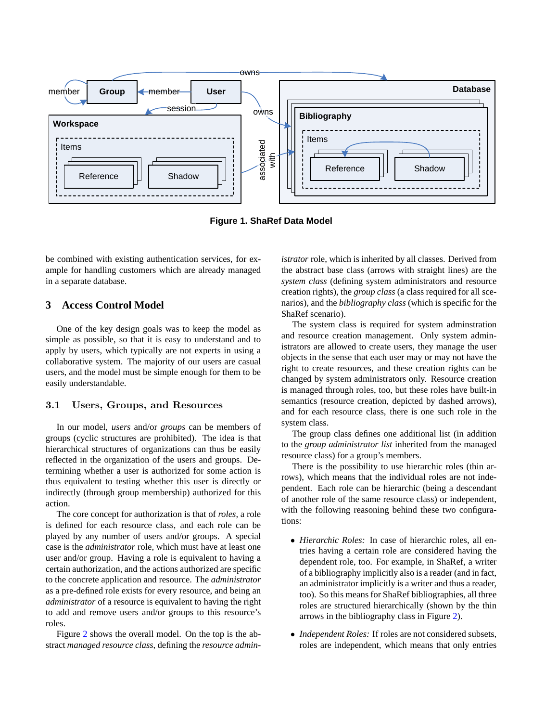<span id="page-1-0"></span>

**Figure 1. ShaRef Data Model**

be combined with existing authentication services, for example for handling customers which are already managed in a separate database.

## **3 Access Control Model**

One of the key design goals was to keep the model as simple as possible, so that it is easy to understand and to apply by users, which typically are not experts in using a collaborative system. The majority of our users are casual users, and the model must be simple enough for them to be easily understandable.

## 3.1 Users, Groups, and Resources

In our model, *users* and/or *groups* can be members of groups (cyclic structures are prohibited). The idea is that hierarchical structures of organizations can thus be easily reflected in the organization of the users and groups. Determining whether a user is authorized for some action is thus equivalent to testing whether this user is directly or indirectly (through group membership) authorized for this action.

The core concept for authorization is that of *roles*, a role is defined for each resource class, and each role can be played by any number of users and/or groups. A special case is the *administrator* role, which must have at least one user and/or group. Having a role is equivalent to having a certain authorization, and the actions authorized are specific to the concrete application and resource. The *administrator* as a pre-defined role exists for every resource, and being an *administrator* of a resource is equivalent to having the right to add and remove users and/or groups to this resource's roles.

Figure [2](#page-2-0) shows the overall model. On the top is the abstract *managed resource class*, defining the *resource admin-* *istrator* role, which is inherited by all classes. Derived from the abstract base class (arrows with straight lines) are the *system class* (defining system administrators and resource creation rights), the *group class* (a class required for all scenarios), and the *bibliography class* (which is specific for the ShaRef scenario).

The system class is required for system adminstration and resource creation management. Only system administrators are allowed to create users, they manage the user objects in the sense that each user may or may not have the right to create resources, and these creation rights can be changed by system administrators only. Resource creation is managed through roles, too, but these roles have built-in semantics (resource creation, depicted by dashed arrows), and for each resource class, there is one such role in the system class.

The group class defines one additional list (in addition to the *group administrator list* inherited from the managed resource class) for a group's members.

There is the possibility to use hierarchic roles (thin arrows), which means that the individual roles are not independent. Each role can be hierarchic (being a descendant of another role of the same resource class) or independent, with the following reasoning behind these two configurations:

- *Hierarchic Roles:* In case of hierarchic roles, all entries having a certain role are considered having the dependent role, too. For example, in ShaRef, a writer of a bibliography implicitly also is a reader (and in fact, an administrator implicitly is a writer and thus a reader, too). So this means for ShaRef bibliographies, all three roles are structured hierarchically (shown by the thin arrows in the bibliography class in Figure [2\)](#page-2-0).
- *Independent Roles:* If roles are not considered subsets, roles are independent, which means that only entries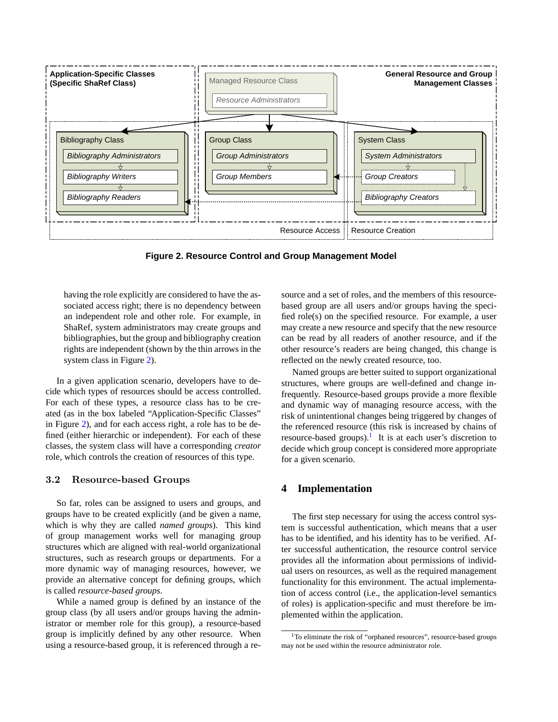<span id="page-2-0"></span>

**Figure 2. Resource Control and Group Management Model**

having the role explicitly are considered to have the associated access right; there is no dependency between an independent role and other role. For example, in ShaRef, system administrators may create groups and bibliographies, but the group and bibliography creation rights are independent (shown by the thin arrows in the system class in Figure 2).

In a given application scenario, developers have to decide which types of resources should be access controlled. For each of these types, a resource class has to be created (as in the box labeled "Application-Specific Classes" in Figure 2), and for each access right, a role has to be defined (either hierarchic or independent). For each of these classes, the system class will have a corresponding *creator* role, which controls the creation of resources of this type.

#### 3.2 Resource-based Groups

So far, roles can be assigned to users and groups, and groups have to be created explicitly (and be given a name, which is why they are called *named groups*). This kind of group management works well for managing group structures which are aligned with real-world organizational structures, such as research groups or departments. For a more dynamic way of managing resources, however, we provide an alternative concept for defining groups, which is called *resource-based groups*.

While a named group is defined by an instance of the group class (by all users and/or groups having the administrator or member role for this group), a resource-based group is implicitly defined by any other resource. When using a resource-based group, it is referenced through a resource and a set of roles, and the members of this resourcebased group are all users and/or groups having the specified role(s) on the specified resource. For example, a user may create a new resource and specify that the new resource can be read by all readers of another resource, and if the other resource's readers are being changed, this change is reflected on the newly created resource, too.

Named groups are better suited to support organizational structures, where groups are well-defined and change infrequently. Resource-based groups provide a more flexible and dynamic way of managing resource access, with the risk of unintentional changes being triggered by changes of the referenced resource (this risk is increased by chains of resource-based groups).<sup>1</sup> It is at each user's discretion to decide which group concept is considered more appropriate for a given scenario.

### **4 Implementation**

The first step necessary for using the access control system is successful authentication, which means that a user has to be identified, and his identity has to be verified. After successful authentication, the resource control service provides all the information about permissions of individual users on resources, as well as the required management functionality for this environment. The actual implementation of access control (i.e., the application-level semantics of roles) is application-specific and must therefore be implemented within the application.

<sup>&</sup>lt;sup>1</sup>To eliminate the risk of "orphaned resources", resource-based groups may not be used within the resource administrator role.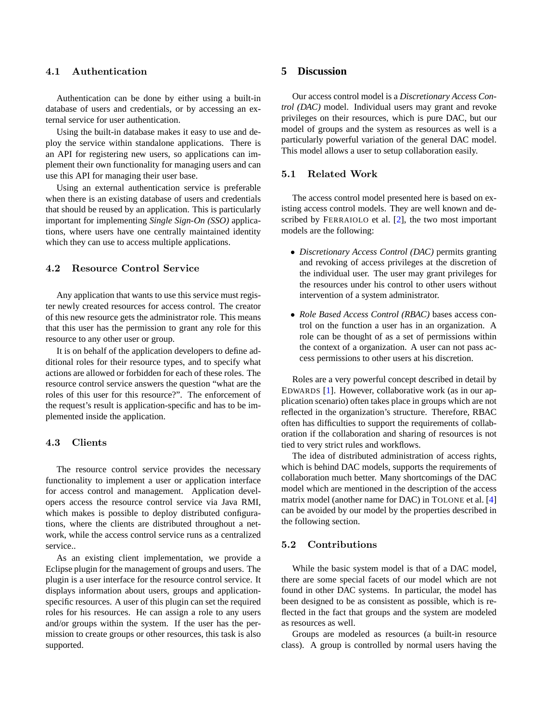### 4.1 Authentication

Authentication can be done by either using a built-in database of users and credentials, or by accessing an external service for user authentication.

Using the built-in database makes it easy to use and deploy the service within standalone applications. There is an API for registering new users, so applications can implement their own functionality for managing users and can use this API for managing their user base.

Using an external authentication service is preferable when there is an existing database of users and credentials that should be reused by an application. This is particularly important for implementing *Single Sign-On (SSO)* applications, where users have one centrally maintained identity which they can use to access multiple applications.

### 4.2 Resource Control Service

Any application that wants to use this service must register newly created resources for access control. The creator of this new resource gets the administrator role. This means that this user has the permission to grant any role for this resource to any other user or group.

It is on behalf of the application developers to define additional roles for their resource types, and to specify what actions are allowed or forbidden for each of these roles. The resource control service answers the question "what are the roles of this user for this resource?". The enforcement of the request's result is application-specific and has to be implemented inside the application.

#### 4.3 Clients

The resource control service provides the necessary functionality to implement a user or application interface for access control and management. Application developers access the resource control service via Java RMI, which makes is possible to deploy distributed configurations, where the clients are distributed throughout a network, while the access control service runs as a centralized service..

As an existing client implementation, we provide a Eclipse plugin for the management of groups and users. The plugin is a user interface for the resource control service. It displays information about users, groups and applicationspecific resources. A user of this plugin can set the required roles for his resources. He can assign a role to any users and/or groups within the system. If the user has the permission to create groups or other resources, this task is also supported.

### **5 Discussion**

Our access control model is a *Discretionary Access Control (DAC)* model. Individual users may grant and revoke privileges on their resources, which is pure DAC, but our model of groups and the system as resources as well is a particularly powerful variation of the general DAC model. This model allows a user to setup collaboration easily.

# 5.1 Related Work

The access control model presented here is based on existing access control models. They are well known and described by FERRAIOLO et al. [\[2\]](#page-4-0), the two most important models are the following:

- *Discretionary Access Control (DAC)* permits granting and revoking of access privileges at the discretion of the individual user. The user may grant privileges for the resources under his control to other users without intervention of a system administrator.
- *Role Based Access Control (RBAC)* bases access control on the function a user has in an organization. A role can be thought of as a set of permissions within the context of a organization. A user can not pass access permissions to other users at his discretion.

Roles are a very powerful concept described in detail by EDWARDS [\[1\]](#page-4-0). However, collaborative work (as in our application scenario) often takes place in groups which are not reflected in the organization's structure. Therefore, RBAC often has difficulties to support the requirements of collaboration if the collaboration and sharing of resources is not tied to very strict rules and workflows.

The idea of distributed administration of access rights, which is behind DAC models, supports the requirements of collaboration much better. Many shortcomings of the DAC model which are mentioned in the description of the access matrix model (another name for DAC) in TOLONE et al. [\[4\]](#page-4-0) can be avoided by our model by the properties described in the following section.

### 5.2 Contributions

While the basic system model is that of a DAC model, there are some special facets of our model which are not found in other DAC systems. In particular, the model has been designed to be as consistent as possible, which is reflected in the fact that groups and the system are modeled as resources as well.

Groups are modeled as resources (a built-in resource class). A group is controlled by normal users having the